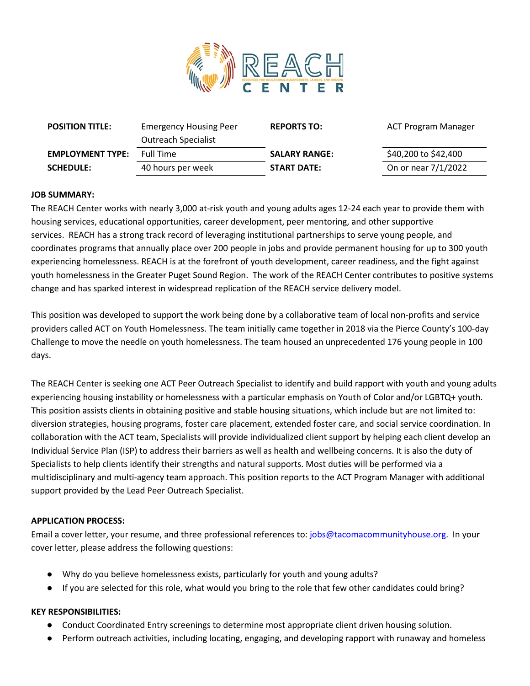

| <b>POSITION TITLE:</b>  | <b>Emergency Housing Peer</b> | <b>REPORTS TO:</b>   | ACT Program Manager  |
|-------------------------|-------------------------------|----------------------|----------------------|
|                         | <b>Outreach Specialist</b>    |                      |                      |
| <b>EMPLOYMENT TYPE:</b> | <b>Full Time</b>              | <b>SALARY RANGE:</b> | \$40,200 to \$42,400 |
| <b>SCHEDULE:</b>        | 40 hours per week             | <b>START DATE:</b>   | On or near 7/1/2022  |
|                         |                               |                      |                      |

## **JOB SUMMARY:**

The REACH Center works with nearly 3,000 at-risk youth and young adults ages 12-24 each year to provide them with housing services, educational opportunities, career development, peer mentoring, and other supportive services. REACH has a strong track record of leveraging institutional partnerships to serve young people, and coordinates programs that annually place over 200 people in jobs and provide permanent housing for up to 300 youth experiencing homelessness. REACH is at the forefront of youth development, career readiness, and the fight against youth homelessness in the Greater Puget Sound Region. The work of the REACH Center contributes to positive systems change and has sparked interest in widespread replication of the REACH service delivery model.

This position was developed to support the work being done by a collaborative team of local non-profits and service providers called ACT on Youth Homelessness. The team initially came together in 2018 via the Pierce County's 100-day Challenge to move the needle on youth homelessness. The team housed an unprecedented 176 young people in 100 days.

The REACH Center is seeking one ACT Peer Outreach Specialist to identify and build rapport with youth and young adults experiencing housing instability or homelessness with a particular emphasis on Youth of Color and/or LGBTQ+ youth. This position assists clients in obtaining positive and stable housing situations, which include but are not limited to: diversion strategies, housing programs, foster care placement, extended foster care, and social service coordination. In collaboration with the ACT team, Specialists will provide individualized client support by helping each client develop an Individual Service Plan (ISP) to address their barriers as well as health and wellbeing concerns. It is also the duty of Specialists to help clients identify their strengths and natural supports. Most duties will be performed via a multidisciplinary and multi-agency team approach. This position reports to the ACT Program Manager with additional support provided by the Lead Peer Outreach Specialist.

# **APPLICATION PROCESS:**

Email a cover letter, your resume, and three professional references to: [jobs@tacomacommunityhouse.org.](mailto:jobs@tacomacommunityhouse.org) In your cover letter, please address the following questions:

- Why do you believe homelessness exists, particularly for youth and young adults?
- If you are selected for this role, what would you bring to the role that few other candidates could bring?

## **KEY RESPONSIBILITIES:**

- Conduct Coordinated Entry screenings to determine most appropriate client driven housing solution.
- Perform outreach activities, including locating, engaging, and developing rapport with runaway and homeless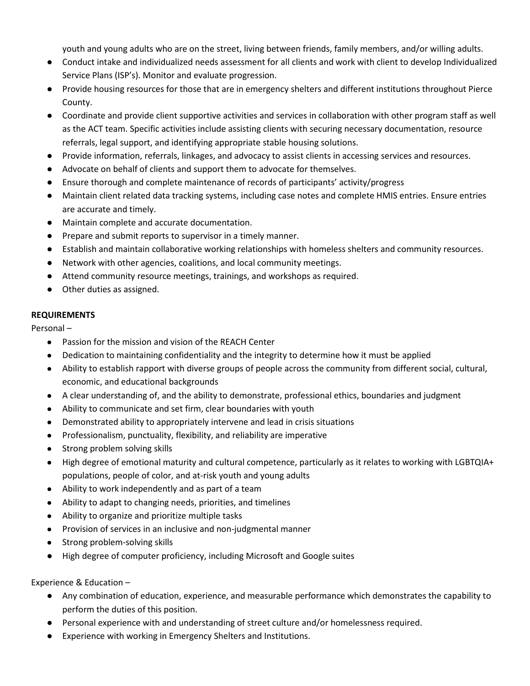youth and young adults who are on the street, living between friends, family members, and/or willing adults.

- Conduct intake and individualized needs assessment for all clients and work with client to develop Individualized Service Plans (ISP's). Monitor and evaluate progression.
- Provide housing resources for those that are in emergency shelters and different institutions throughout Pierce County.
- Coordinate and provide client supportive activities and services in collaboration with other program staff as well as the ACT team. Specific activities include assisting clients with securing necessary documentation, resource referrals, legal support, and identifying appropriate stable housing solutions.
- Provide information, referrals, linkages, and advocacy to assist clients in accessing services and resources.
- Advocate on behalf of clients and support them to advocate for themselves.
- Ensure thorough and complete maintenance of records of participants' activity/progress
- Maintain client related data tracking systems, including case notes and complete HMIS entries. Ensure entries are accurate and timely.
- Maintain complete and accurate documentation.
- Prepare and submit reports to supervisor in a timely manner.
- Establish and maintain collaborative working relationships with homeless shelters and community resources.
- Network with other agencies, coalitions, and local community meetings.
- Attend community resource meetings, trainings, and workshops as required.
- Other duties as assigned.

## **REQUIREMENTS**

Personal –

- Passion for the mission and vision of the REACH Center
- Dedication to maintaining confidentiality and the integrity to determine how it must be applied
- Ability to establish rapport with diverse groups of people across the community from different social, cultural, economic, and educational backgrounds
- A clear understanding of, and the ability to demonstrate, professional ethics, boundaries and judgment
- Ability to communicate and set firm, clear boundaries with youth
- Demonstrated ability to appropriately intervene and lead in crisis situations
- Professionalism, punctuality, flexibility, and reliability are imperative
- Strong problem solving skills
- High degree of emotional maturity and cultural competence, particularly as it relates to working with LGBTQIA+ populations, people of color, and at-risk youth and young adults
- Ability to work independently and as part of a team
- Ability to adapt to changing needs, priorities, and timelines
- Ability to organize and prioritize multiple tasks
- Provision of services in an inclusive and non-judgmental manner
- Strong problem-solving skills
- High degree of computer proficiency, including Microsoft and Google suites

Experience & Education –

- Any combination of education, experience, and measurable performance which demonstrates the capability to perform the duties of this position.
- Personal experience with and understanding of street culture and/or homelessness required.
- Experience with working in Emergency Shelters and Institutions.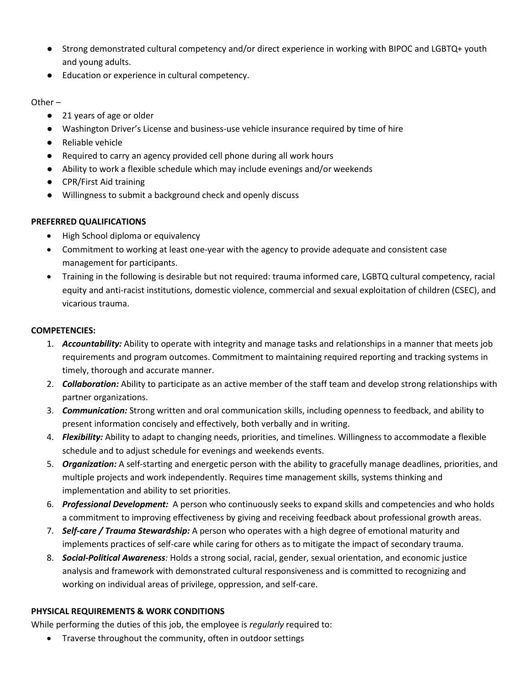- Strong demonstrated cultural competency and/or direct experience in working with BIPOC and LGBTQ+ youth and young adults.
- Education or experience in cultural competency.

Other –

- 21 years of age or older
- Washington Driver's License and business-use vehicle insurance required by time of hire
- Reliable vehicle
- Required to carry an agency provided cell phone during all work hours
- Ability to work a flexible schedule which may include evenings and/or weekends
- CPR/First Aid training
- Willingness to submit a background check and openly discuss

# **PREFERRED QUALIFICATIONS**

- High School diploma or equivalency
- Commitment to working at least one-year with the agency to provide adequate and consistent case management for participants.
- Training in the following is desirable but not required: trauma informed care, LGBTQ cultural competency, racial equity and anti-racist institutions, domestic violence, commercial and sexual exploitation of children (CSEC), and vicarious trauma.

## **COMPETENCIES:**

- 1. *Accountability:* Ability to operate with integrity and manage tasks and relationships in a manner that meets job requirements and program outcomes. Commitment to maintaining required reporting and tracking systems in timely, thorough and accurate manner.
- 2. *Collaboration:* Ability to participate as an active member of the staff team and develop strong relationships with partner organizations.
- 3. *Communication:* Strong written and oral communication skills, including openness to feedback, and ability to present information concisely and effectively, both verbally and in writing.
- 4. *Flexibility:* Ability to adapt to changing needs, priorities, and timelines. Willingness to accommodate a flexible schedule and to adjust schedule for evenings and weekends events.
- 5. *Organization:* A self-starting and energetic person with the ability to gracefully manage deadlines, priorities, and multiple projects and work independently. Requires time management skills, systems thinking and implementation and ability to set priorities.
- 6. *Professional Development:* A person who continuously seeks to expand skills and competencies and who holds a commitment to improving effectiveness by giving and receiving feedback about professional growth areas.
- 7. *Self-care / Trauma Stewardship:* A person who operates with a high degree of emotional maturity and implements practices of self-care while caring for others as to mitigate the impact of secondary trauma.
- 8. *Social-Political Awareness:* Holds a strong social, racial, gender, sexual orientation, and economic justice analysis and framework with demonstrated cultural responsiveness and is committed to recognizing and working on individual areas of privilege, oppression, and self-care.

# **PHYSICAL REQUIREMENTS & WORK CONDITIONS**

While performing the duties of this job, the employee is *regularly* required to:

• Traverse throughout the community, often in outdoor settings